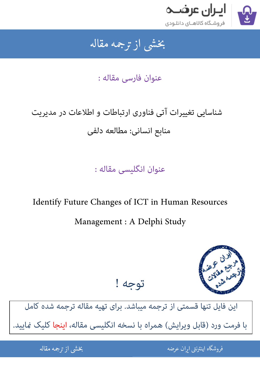

#### جمه مقاله شی از تر بخشی از :

عنوان فارسی مقاله :

# شناسایی تغییرات آتی فناوری ارتباطات و اطلاعات در مدیریت منابع انسانی: مطالعه دلفی

عنوان انگلیسی مقاله :

## Identify Future Changes of ICT in Human Resources

## Management : A Delphi Study



این فایل تنها قسمتی از ترجمه میباشد. برای تهیه مقاله ترجمه شده کامل با فرمت ورد (قابل ویرایش) همراه با نسخه انگلیسی مقاله، اینجا کلیک غایید.

توجه !

֦֘ ه اينترنتي ايران عرضه مستخدم استخدام المستخدم المستخدم المستخدم المستخدم المستخدم المستخدم المستخدم المستخدم ا 

شی از ترجمه <mark>مقا</mark>له